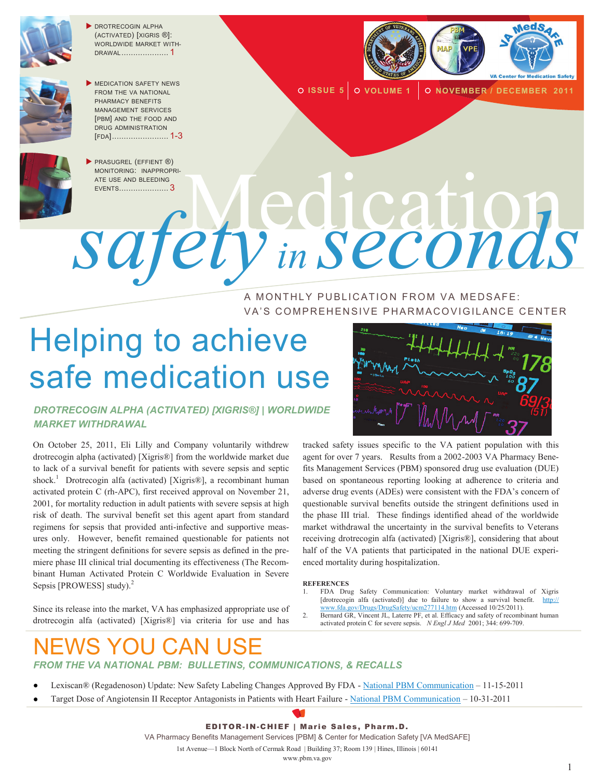

 DROTRECOGIN ALPHA (ACTIVATED) [XIGRIS ®]: WORLDWIDE MARKET WITH-DRAWAL .................... 1



**MEDICATION SAFETY NEWS** FROM THE VA NATIONAL PHARMACY BENEFITS MANAGEMENT SERVICES [PBM] AND THE FOOD AND DRUG ADMINISTRATION [FDA]........................ 1-3



**O ISSUE 5** O VOLUME 1 O NOVEMBER / DECEMBER 2011



**PRASUGREL (EFFIENT ®)** ATE USE AND BLEEDING

MONITORING: INAPPROPRI-NONITORING: INAPROPRI*safety in seconds*

> A MONTHLY PUBLICATION FROM VA MEDSAFE: VA'S COMPREHENSIVE PHARMACOVIGILANCE CENTER

# Helping to achieve safe medication use



#### *DROTRECOGIN ALPHA (ACTIVATED) [XIGRIS®] | WORLDWIDE MARKET WITHDRAWAL*

On October 25, 2011, Eli Lilly and Company voluntarily withdrew drotrecogin alpha (activated) [Xigris®] from the worldwide market due to lack of a survival benefit for patients with severe sepsis and septic shock.<sup>1</sup> Drotrecogin alfa (activated) [Xigris®], a recombinant human activated protein C (rh-APC), first received approval on November 21, 2001, for mortality reduction in adult patients with severe sepsis at high risk of death. The survival benefit set this agent apart from standard regimens for sepsis that provided anti-infective and supportive measures only. However, benefit remained questionable for patients not meeting the stringent definitions for severe sepsis as defined in the premiere phase III clinical trial documenting its effectiveness (The Recombinant Human Activated Protein C Worldwide Evaluation in Severe Sepsis [PROWESS] study).<sup>2</sup>

Since its release into the market, VA has emphasized appropriate use of drotrecogin alfa (activated) [Xigris®] via criteria for use and has

tracked safety issues specific to the VA patient population with this agent for over 7 years. Results from a 2002-2003 VA Pharmacy Benefits Management Services (PBM) sponsored drug use evaluation (DUE) based on spontaneous reporting looking at adherence to criteria and adverse drug events (ADEs) were consistent with the FDA's concern of questionable survival benefits outside the stringent definitions used in the phase III trial. These findings identified ahead of the worldwide market withdrawal the uncertainty in the survival benefits to Veterans receiving drotrecogin alfa (activated) [Xigris®], considering that about half of the VA patients that participated in the national DUE experienced mortality during hospitalization.

**REFERENCES**

- 1. FDA Drug Safety Communication: Voluntary market withdrawal of Xigris [drotrecogin alfa (activated)] due to failure to show a survival benefit. [http://](http://www.fda.gov/Drugs/DrugSafety/ucm277114.htm) [www.fda.gov/Drugs/DrugSafety/ucm277114.htm](http://www.fda.gov/Drugs/DrugSafety/ucm277114.htm) (Accessed 10/25/2011).
- Bernard GR, Vincent JL, Laterre PF, et al. Efficacy and safety of recombinant human activated protein C for severe sepsis. *N Engl J Med* 2001; 344: 699-709.

### NEWS YOU CAN USE *FROM THE VA NATIONAL PBM: BULLETINS, COMMUNICATIONS, & RECALLS*

- Lexiscan® (Regadenoson) Update: New Safety Labeling Changes Approved By FDA [National PBM Communication](http://www.pbm.va.gov/vamedsafe/Lexiscan®%20_Regadenoson_%20Update_New%20Safety%20Labeling_NATIONAL%20PBM%20COMMUNICATION_111511_FINAL.PDF) 11-15-2011
- Target Dose of Angiotensin II Receptor Antagonists in Patients with Heart Failure [National PBM Communication](http://www.pbm.va.gov/vamedsafe/ANGIOTENSIN%20II%20RECEPTOR%20ANTAGONISTS_HF%20TARGET%20DOSE_NATIONAL%20PBM%20COMMUNICATION_103111_FINAL.PDF) 10-31-2011

EDITOR-IN-CHIEF | Marie Sales, Pharm.D. VA Pharmacy Benefits Management Services [PBM] & Center for Medication Safety [VA MedSAFE] 1st Avenue—1 Block North of Cermak Road | Building 37; Room 139 | Hines, Illinois | 60141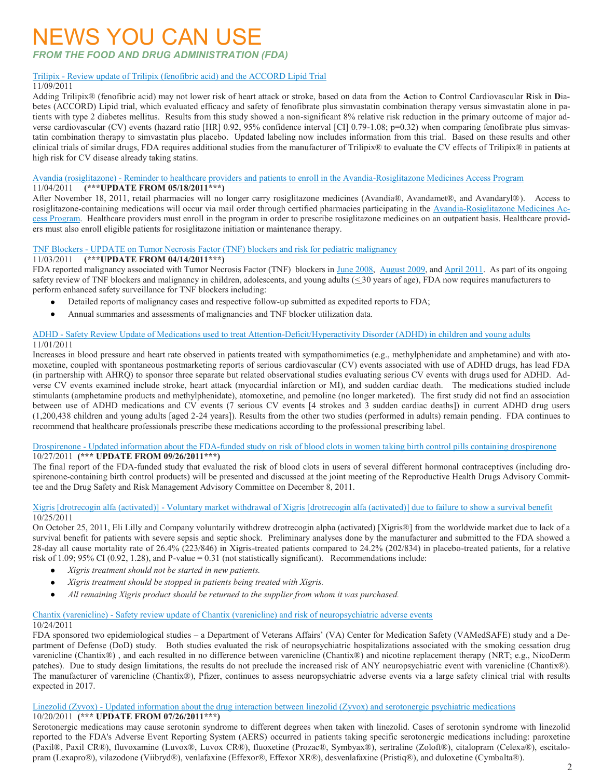### NEWS YOU CAN USE

*FROM THE FOOD AND DRUG ADMINISTRATION (FDA)*

#### Trilipix - [Review update of Trilipix \(fenofibric acid\) and the ACCORD Lipid Trial](http://www.fda.gov/Drugs/DrugSafety/ucm278837.htm)

#### 11/09/2011

Adding Trilipix® (fenofibric acid) may not lower risk of heart attack or stroke, based on data from the **A**ction to **C**ontrol **C**ardiovascular **R**isk in **D**iabetes (ACCORD) Lipid trial, which evaluated efficacy and safety of fenofibrate plus simvastatin combination therapy versus simvastatin alone in patients with type 2 diabetes mellitus. Results from this study showed a non-significant 8% relative risk reduction in the primary outcome of major adverse cardiovascular (CV) events (hazard ratio [HR] 0.92, 95% confidence interval [CI] 0.79-1.08; p=0.32) when comparing fenofibrate plus simvastatin combination therapy to simvastatin plus placebo. Updated labeling now includes information from this trial. Based on these results and other clinical trials of similar drugs, FDA requires additional studies from the manufacturer of Trilipix® to evaluate the CV effects of Trilipix® in patients at high risk for CV disease already taking statins.

Avandia (rosiglitazone) - [Reminder to healthcare providers and patients to enroll in the Avandia-Rosiglitazone Medicines Access Program](http://www.fda.gov/Drugs/DrugSafety/ucm277629.htm) 11/04/2011 **(\*\*\*UPDATE FROM 05/18/2011\*\*\*)**

After November 18, 2011, retail pharmacies will no longer carry rosiglitazone medicines (Avandia®, Avandamet®, and Avandaryl®). Access to rosiglitazone-containing medications will occur via mail order through certified pharmacies participating in the [Avandia-Rosiglitazone Medicines Ac](http://www.fda.gov/downloads/Drugs/DrugSafety/PostmarketDrugSafetyInformationforPatientsandProviders/UCM255624.pdf)[cess Program.](http://www.fda.gov/downloads/Drugs/DrugSafety/PostmarketDrugSafetyInformationforPatientsandProviders/UCM255624.pdf) Healthcare providers must enroll in the program in order to prescribe rosiglitazone medicines on an outpatient basis. Healthcare providers must also enroll eligible patients for rosiglitazone initiation or maintenance therapy.

#### TNF Blockers - [UPDATE on Tumor Necrosis Factor \(TNF\) blockers and risk for pediatric malignancy](http://www.fda.gov/Drugs/DrugSafety/ucm278267.htm)

#### 11/03/2011 **(\*\*\*UPDATE FROM 04/14/2011\*\*\*)**

FDA reported malignancy associated with Tumor Necrosis Factor (TNF) blockers in [June 2008,](http://www.fda.gov/Drugs/DrugSafety/PostmarketDrugSafetyInformationforPatientsandProviders/DrugSafetyInformationforHeathcareProfessionals/ucm070725.htm) [August 2009,](http://www.fda.gov/Drugs/DrugSafety/PostmarketDrugSafetyInformationforPatientsandProviders/DrugSafetyInformationforHeathcareProfessionals/ucm174449.htm) and [April 2011.](http://www.fda.gov/Drugs/DrugSafety/ucm250913.htm) As part of its ongoing safety review of TNF blockers and malignancy in children, adolescents, and young adults  $( \leq 30 \text{ years of age})$ , FDA now requires manufacturers to perform enhanced safety surveillance for TNF blockers including:

- Detailed reports of malignancy cases and respective follow-up submitted as expedited reports to FDA;
- Annual summaries and assessments of malignancies and TNF blocker utilization data.  $\bullet$

#### ADHD - [Safety Review Update of Medications used to treat Attention-Deficit/Hyperactivity Disorder \(ADHD\) in children and young adults](http://www.fda.gov/Drugs/DrugSafety/ucm277770.htm) 11/01/2011

Increases in blood pressure and heart rate observed in patients treated with sympathomimetics (e.g., methylphenidate and amphetamine) and with atomoxetine, coupled with spontaneous postmarketing reports of serious cardiovascular (CV) events associated with use of ADHD drugs, has lead FDA (in partnership with AHRQ) to sponsor three separate but related observational studies evaluating serious CV events with drugs used for ADHD. Adverse CV events examined include stroke, heart attack (myocardial infarction or MI), and sudden cardiac death. The medications studied include stimulants (amphetamine products and methylphenidate), atomoxetine, and pemoline (no longer marketed). The first study did not find an association between use of ADHD medications and CV events (7 serious CV events [4 strokes and 3 sudden cardiac deaths]) in current ADHD drug users (1,200,438 children and young adults [aged 2-24 years]). Results from the other two studies (performed in adults) remain pending. FDA continues to recommend that healthcare professionals prescribe these medications according to the professional prescribing label.

#### Drospirenone - [Updated information about the FDA-funded study on risk of blood clots in women taking birth control pills containing drospirenone](http://www.fda.gov/Drugs/DrugSafety/ucm277346.htm) 10/27/2011 **(\*\*\* UPDATE FROM 09/26/2011\*\*\*)**

The final report of the FDA-funded study that evaluated the risk of blood clots in users of several different hormonal contraceptives (including drospirenone-containing birth control products) will be presented and discussed at the joint meeting of the Reproductive Health Drugs Advisory Committee and the Drug Safety and Risk Management Advisory Committee on December 8, 2011.

#### Xigris [drotrecogin alfa (activated)] - [Voluntary market withdrawal of Xigris \[drotrecogin alfa \(activated\)\] due to failure to show a survival benefit](http://www.fda.gov/Drugs/DrugSafety/ucm277114.htm) 10/25/2011

On October 25, 2011, Eli Lilly and Company voluntarily withdrew drotrecogin alpha (activated) [Xigris®] from the worldwide market due to lack of a survival benefit for patients with severe sepsis and septic shock. Preliminary analyses done by the manufacturer and submitted to the FDA showed a 28-day all cause mortality rate of 26.4% (223/846) in Xigris-treated patients compared to 24.2% (202/834) in placebo-treated patients, for a relative risk of 1.09; 95% CI (0.92, 1.28), and P-value = 0.31 (not statistically significant). Recommendations include:

- *Xigris treatment should not be started in new patients.*   $\bullet$
- $\bullet$ *Xigris treatment should be stopped in patients being treated with Xigris.*
- $\bullet$ *All remaining Xigris product should be returned to the supplier from whom it was purchased.*

#### Chantix (varenicline) - [Safety review update of Chantix \(varenicline\) and risk of neuropsychiatric adverse events](http://www.fda.gov/Drugs/DrugSafety/ucm276737.htm)

#### 10/24/2011

FDA sponsored two epidemiological studies – a Department of Veterans Affairs' (VA) Center for Medication Safety (VAMedSAFE) study and a Department of Defense (DoD) study. Both studies evaluated the risk of neuropsychiatric hospitalizations associated with the smoking cessation drug varenicline (Chantix®) , and each resulted in no difference between varenicline (Chantix®) and nicotine replacement therapy (NRT; e.g., NicoDerm patches). Due to study design limitations, the results do not preclude the increased risk of ANY neuropsychiatric event with varenicline (Chantix®). The manufacturer of varenicline (Chantix®), Pfizer, continues to assess neuropsychiatric adverse events via a large safety clinical trial with results expected in 2017.

#### Linezolid (Zyvox) - [Updated information about the drug interaction between linezolid \(Zyvox\) and serotonergic psychiatric medications](http://www.fda.gov/Drugs/DrugSafety/ucm276251.htm) 10/20/2011 **(\*\*\* UPDATE FROM 07/26/2011\*\*\*)**

Serotonergic medications may cause serotonin syndrome to different degrees when taken with linezolid. Cases of serotonin syndrome with linezolid reported to the FDA's Adverse Event Reporting System (AERS) occurred in patients taking specific serotonergic medications including: paroxetine (Paxil®, Paxil CR®), fluvoxamine (Luvox®, Luvox CR®), fluoxetine (Prozac®, Symbyax®), sertraline (Zoloft®), citalopram (Celexa®), escitalopram (Lexapro®), vilazodone (Viibryd®), venlafaxine (Effexor®, Effexor XR®), desvenlafaxine (Pristiq®), and duloxetine (Cymbalta®).